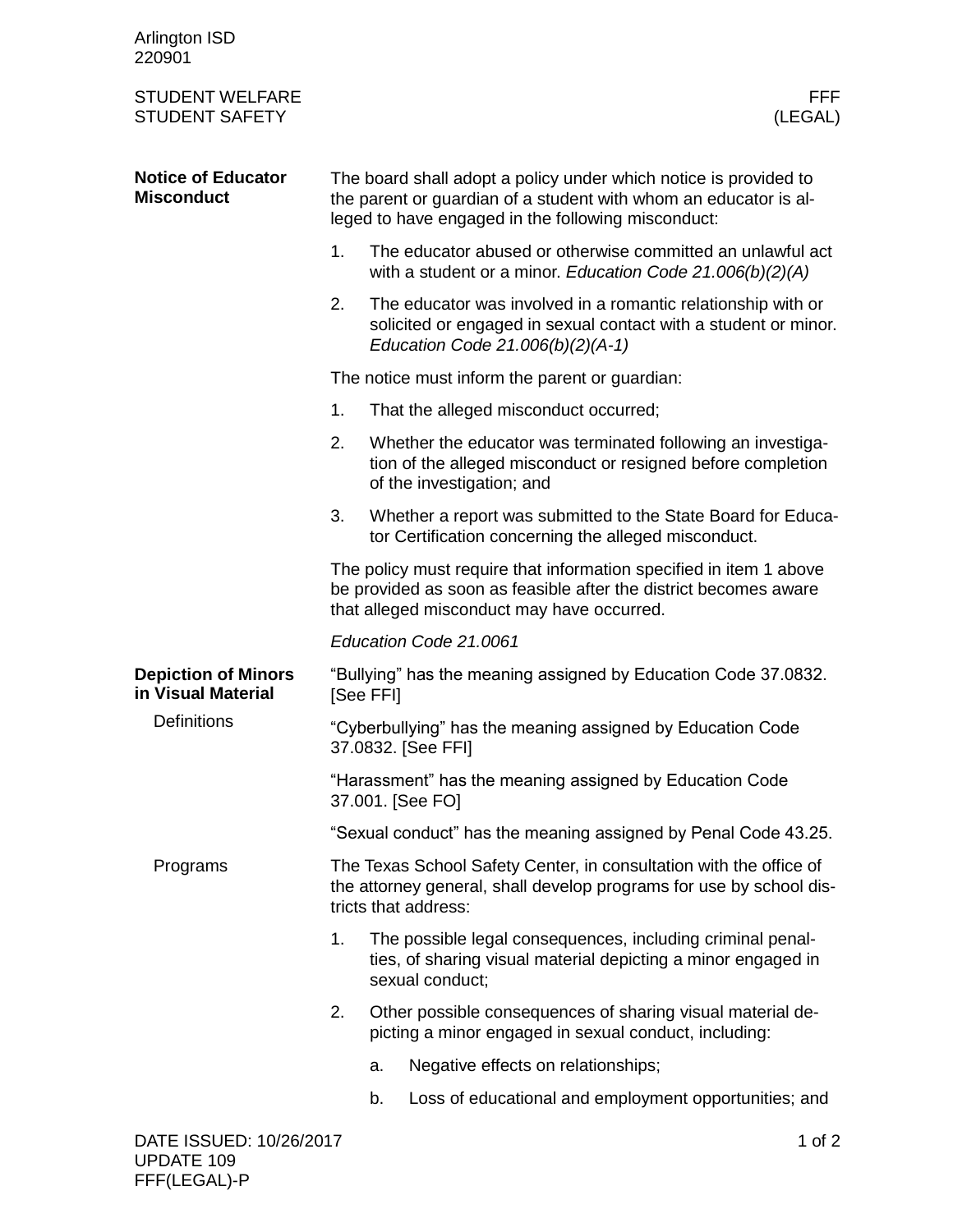| Arlington ISD<br>220901                          |                                                                                                                                                                                            |                                                                                                                                                |                                                                                                                                                                     |      |
|--------------------------------------------------|--------------------------------------------------------------------------------------------------------------------------------------------------------------------------------------------|------------------------------------------------------------------------------------------------------------------------------------------------|---------------------------------------------------------------------------------------------------------------------------------------------------------------------|------|
| <b>STUDENT WELFARE</b><br><b>STUDENT SAFETY</b>  |                                                                                                                                                                                            |                                                                                                                                                | (LEGAL)                                                                                                                                                             | FFF. |
| <b>Notice of Educator</b><br><b>Misconduct</b>   | The board shall adopt a policy under which notice is provided to<br>the parent or guardian of a student with whom an educator is al-<br>leged to have engaged in the following misconduct: |                                                                                                                                                |                                                                                                                                                                     |      |
|                                                  | 1.                                                                                                                                                                                         |                                                                                                                                                | The educator abused or otherwise committed an unlawful act<br>with a student or a minor. Education Code $21.006(b)(2)(A)$                                           |      |
|                                                  | 2.                                                                                                                                                                                         |                                                                                                                                                | The educator was involved in a romantic relationship with or<br>solicited or engaged in sexual contact with a student or minor.<br>Education Code 21.006(b)(2)(A-1) |      |
|                                                  |                                                                                                                                                                                            | The notice must inform the parent or guardian:                                                                                                 |                                                                                                                                                                     |      |
|                                                  | 1.                                                                                                                                                                                         |                                                                                                                                                | That the alleged misconduct occurred;                                                                                                                               |      |
|                                                  | 2.                                                                                                                                                                                         |                                                                                                                                                | Whether the educator was terminated following an investiga-<br>tion of the alleged misconduct or resigned before completion<br>of the investigation; and            |      |
|                                                  | 3.                                                                                                                                                                                         |                                                                                                                                                | Whether a report was submitted to the State Board for Educa-<br>tor Certification concerning the alleged misconduct.                                                |      |
|                                                  | The policy must require that information specified in item 1 above<br>be provided as soon as feasible after the district becomes aware<br>that alleged misconduct may have occurred.       |                                                                                                                                                |                                                                                                                                                                     |      |
|                                                  | Education Code 21.0061                                                                                                                                                                     |                                                                                                                                                |                                                                                                                                                                     |      |
| <b>Depiction of Minors</b><br>in Visual Material | "Bullying" has the meaning assigned by Education Code 37.0832.<br>[See FFI]                                                                                                                |                                                                                                                                                |                                                                                                                                                                     |      |
| <b>Definitions</b>                               | "Cyberbullying" has the meaning assigned by Education Code<br>37.0832. [See FFI]                                                                                                           |                                                                                                                                                |                                                                                                                                                                     |      |
|                                                  | "Harassment" has the meaning assigned by Education Code<br>37.001. [See FO]                                                                                                                |                                                                                                                                                |                                                                                                                                                                     |      |
|                                                  | "Sexual conduct" has the meaning assigned by Penal Code 43.25.                                                                                                                             |                                                                                                                                                |                                                                                                                                                                     |      |
| Programs                                         | The Texas School Safety Center, in consultation with the office of<br>the attorney general, shall develop programs for use by school dis-<br>tricts that address:                          |                                                                                                                                                |                                                                                                                                                                     |      |
|                                                  | 1.                                                                                                                                                                                         | The possible legal consequences, including criminal penal-<br>ties, of sharing visual material depicting a minor engaged in<br>sexual conduct; |                                                                                                                                                                     |      |
|                                                  | 2.                                                                                                                                                                                         |                                                                                                                                                | Other possible consequences of sharing visual material de-<br>picting a minor engaged in sexual conduct, including:                                                 |      |
|                                                  |                                                                                                                                                                                            | a.                                                                                                                                             | Negative effects on relationships;                                                                                                                                  |      |
|                                                  |                                                                                                                                                                                            | b.                                                                                                                                             | Loss of educational and employment opportunities; and                                                                                                               |      |
| DATE ISSUED: 10/26/2017                          |                                                                                                                                                                                            |                                                                                                                                                | 1 of $2$                                                                                                                                                            |      |